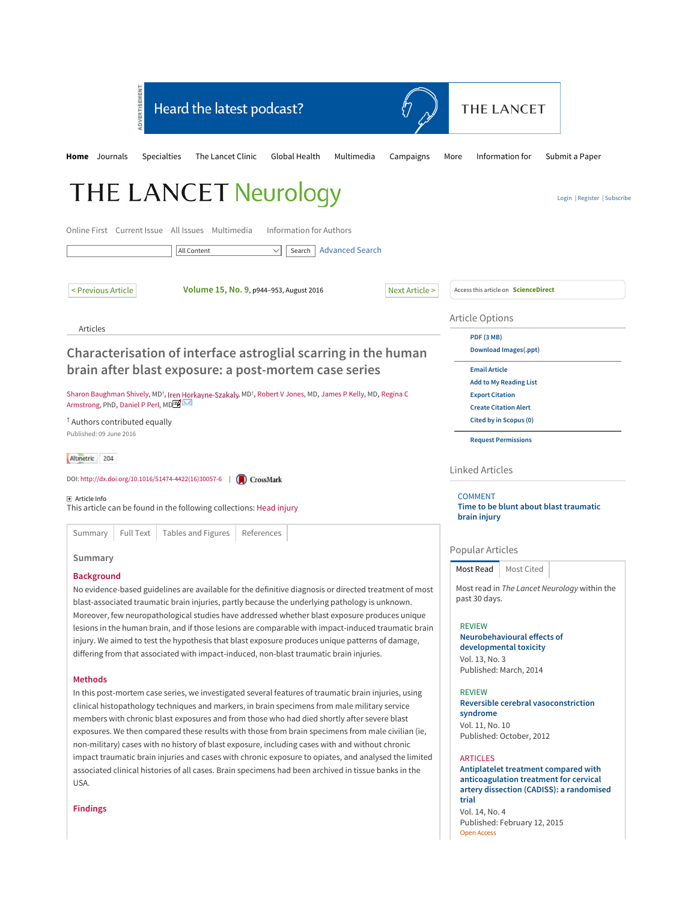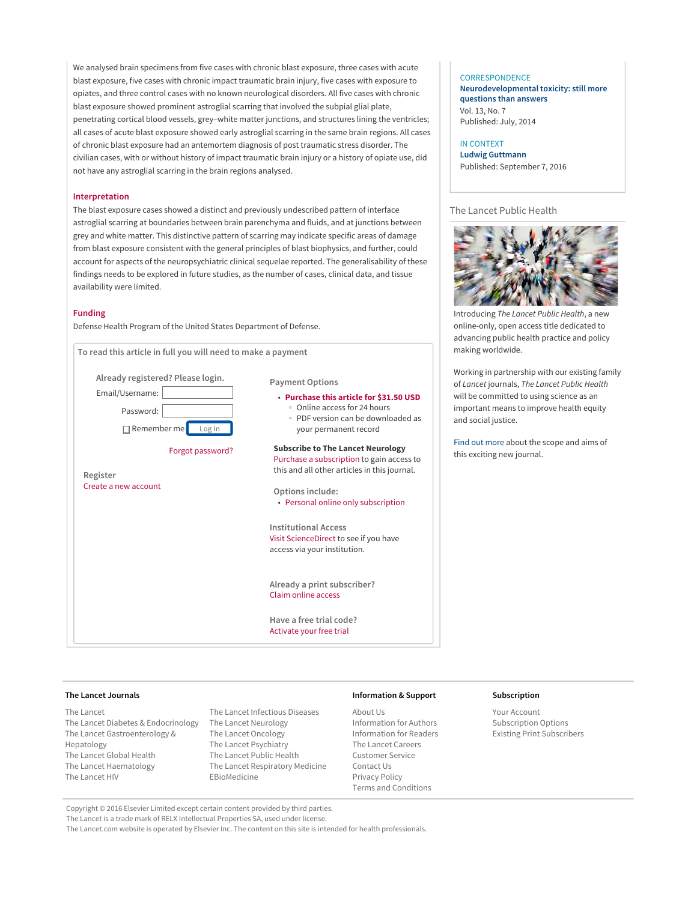We analysed brain specimens from five cases with chronic blast exposure, three cases with acute blast exposure, five cases with chronic impact traumatic brain injury, five cases with exposure to opiates, and three control cases with no known neurological disorders. All five cases with chronic blast exposure showed prominent astroglial scarring that involved the subpial glial plate, penetrating cortical blood vessels, grey–white matter junctions, and structures lining the ventricles; all cases of acute blast exposure showed early astroglial scarring in the same brain regions. All cases of chronic blast exposure had an antemortem diagnosis of post traumatic stress disorder. The civilian cases, with or without history of impact traumatic brain injury or a history of opiate use, did not have any astroglial scarring in the brain regions analysed.

## **Interpretation**

The blast exposure cases showed a distinct and previously undescribed pattern of interface astroglial scarring at boundaries between brain parenchyma and fluids, and at junctions between grey and white matter. This distinctive pattern of scarring may indicate specific areas of damage from blast exposure consistent with the general principles of blast biophysics, and further, could account for aspects of the neuropsychiatric clinical sequelae reported. The generalisability of these findings needs to be explored in future studies, as the number of cases, clinical data, and tissue availability were limited.

## **Funding**

Defense Health Program of the United States Department of Defense.



### **CORRESPONDENCE**

**Neurodevelopmental toxicity: still more questions than answers** Vol. 13, No. 7 Published: July, 2014

IN CONTEXT **Ludwig Guttmann** Published: September 7, 2016

# The Lancet Public Health



Introducing The Lancet Public Health, a new online-only, open access title dedicated to advancing public health practice and policy making worldwide.

Working in partnership with our existing family of Lancet journals, The Lancet Public Health will be committed to using science as an important means to improve health equity and social justice.

Find out more about the scope and aims of this exciting new journal.

#### **The Lancet Journals**

The Lancet The Lancet Diabetes & Endocrinology The Lancet Neurology The Lancet Gastroenterology & Hepatology The Lancet Global Health The Lancet Haematology The Lancet HIV

The Lancet Infectious Diseases The Lancet Oncology The Lancet Psychiatry The Lancet Public Health The Lancet Respiratory Medicine EBioMedicine

### **Information & Support**

About Us Information for Authors Information for Readers The Lancet Careers Customer Service Contact Us Privacy Policy Terms and Conditions

### **Subscription**

Your Account Subscription Options Existing Print Subscribers

Copyright © 2016 Elsevier Limited except certain content provided by third parties.

The Lancet is a trade mark of RELX Intellectual Properties SA, used under license.

The Lancet.com website is operated by Elsevier Inc. The content on this site is intended for health professionals.